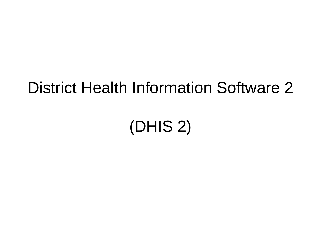#### District Health Information Software 2

#### (DHIS 2)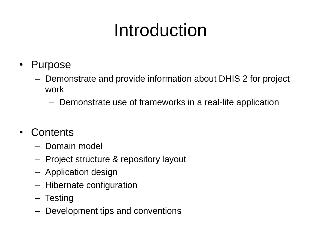# Introduction

- Purpose
	- Demonstrate and provide information about DHIS 2 for project work
		- Demonstrate use of frameworks in a real-life application
- Contents
	- Domain model
	- Project structure & repository layout
	- Application design
	- Hibernate configuration
	- Testing
	- Development tips and conventions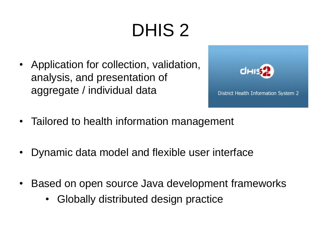# DHIS 2

• Application for collection, validation, analysis, and presentation of aggregate / individual data



- Tailored to health information management
- Dynamic data model and flexible user interface
- Based on open source Java development frameworks
	- Globally distributed design practice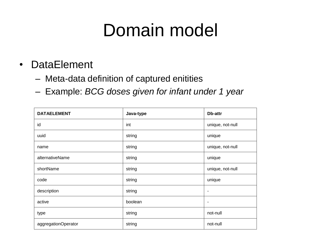- DataElement
	- Meta-data definition of captured enitities
	- Example: *BCG doses given for infant under 1 year*

| <b>DATAELEMENT</b>  | Java-type | Db-attr                  |
|---------------------|-----------|--------------------------|
| id                  | int       | unique, not-null         |
| uuid                | string    | unique                   |
| name                | string    | unique, not-null         |
| alternativeName     | string    | unique                   |
| shortName           | string    | unique, not-null         |
| code                | string    | unique                   |
| description         | string    | ۰                        |
| active              | boolean   | $\overline{\phantom{a}}$ |
| type                | string    | not-null                 |
| aggregationOperator | string    | not-null                 |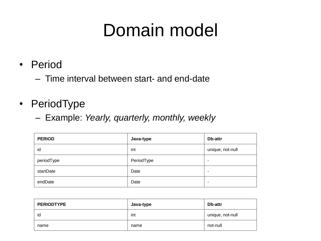- Period
	- Time interval between start- and end-date
- PeriodType
	- Example: *Yearly, quarterly, monthly, weekly*

| <b>PERIOD</b> | Java-type  | Db-attr                  |
|---------------|------------|--------------------------|
| id            | int        | unique, not-null         |
| periodType    | PeriodType | $\overline{\phantom{a}}$ |
| startDate     | Date       | ۰                        |
| endDate       | Date       | ٠                        |

| <b>PERIODTYPE</b> | Java-type | Db-attr          |
|-------------------|-----------|------------------|
| id                | int       | unique, not-null |
| name              | name      | not-null         |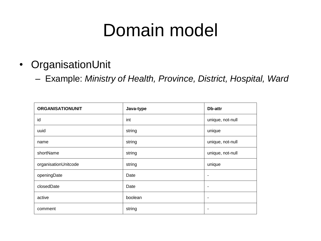- OrganisationUnit
	- Example: *Ministry of Health, Province, District, Hospital, Ward*

| <b>ORGANISATIONUNIT</b> | Java-type | Db-attr                  |
|-------------------------|-----------|--------------------------|
| id                      | int       | unique, not-null         |
| uuid                    | string    | unique                   |
| name                    | string    | unique, not-null         |
| shortName               | string    | unique, not-null         |
| organisationUnitcode    | string    | unique                   |
| openingDate             | Date      | ٠                        |
| closedDate              | Date      | ٠                        |
| active                  | boolean   | $\overline{\phantom{a}}$ |
| comment                 | string    | $\overline{\phantom{a}}$ |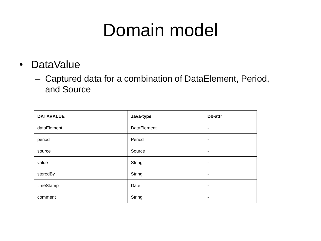- DataValue
	- Captured data for a combination of DataElement, Period, and Source

| <b>DATAVALUE</b> | Java-type   | Db-attr                  |
|------------------|-------------|--------------------------|
| dataElement      | DataElement | $\blacksquare$           |
| period           | Period      | $\overline{\phantom{a}}$ |
| source           | Source      | $\overline{\phantom{a}}$ |
| value            | String      | $\overline{\phantom{a}}$ |
| storedBy         | String      | $\overline{\phantom{a}}$ |
| timeStamp        | Date        | $\overline{\phantom{a}}$ |
| comment          | String      | $\overline{\phantom{a}}$ |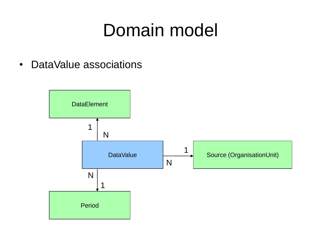• DataValue associations

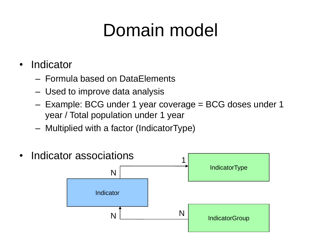- Indicator
	- Formula based on DataElements
	- Used to improve data analysis
	- Example: BCG under 1 year coverage = BCG doses under 1 year / Total population under 1 year
	- Multiplied with a factor (IndicatorType)

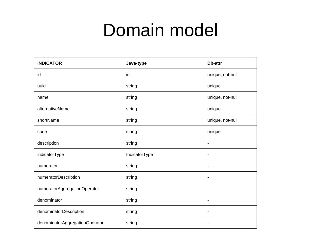| <b>INDICATOR</b>               | Java-type     | Db-attr                  |
|--------------------------------|---------------|--------------------------|
| id                             | int           | unique, not-null         |
| uuid                           | string        | unique                   |
| name                           | string        | unique, not-null         |
| alternativeName                | string        | unique                   |
| shortName                      | string        | unique, not-null         |
| code                           | string        | unique                   |
| description                    | string        | $\overline{a}$           |
| indicatorType                  | IndicatorType | $\overline{\phantom{a}}$ |
| numerator                      | string        | $\overline{\phantom{a}}$ |
| numeratorDescription           | string        | $\blacksquare$           |
| numeratorAggregationOperator   | string        | $\overline{a}$           |
| denominator                    | string        | $\overline{\phantom{a}}$ |
| denominatorDescription         | string        | $\overline{\phantom{a}}$ |
| denominatorAggregationOperator | string        | $\blacksquare$           |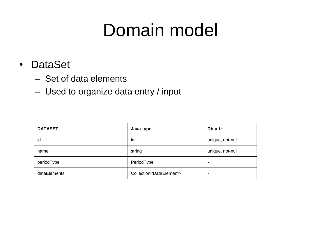- DataSet
	- Set of data elements
	- Used to organize data entry / input

| <b>DATASET</b> | Java-type                              | Db-attr          |
|----------------|----------------------------------------|------------------|
| id             | int                                    | unique, not-null |
| name           | string                                 | unique, not-null |
| periodType     | PeriodType                             | $\blacksquare$   |
| dataElements   | Collection <dataelement></dataelement> | ۰                |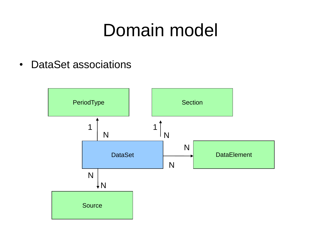• DataSet associations

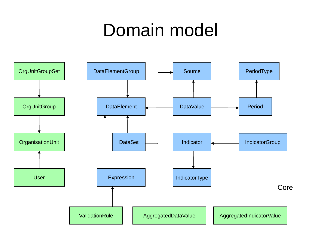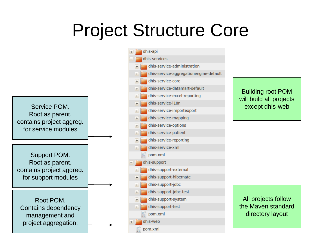# Project Structure Core

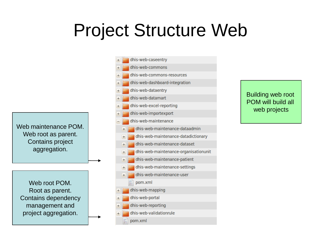#### Project Structure Web

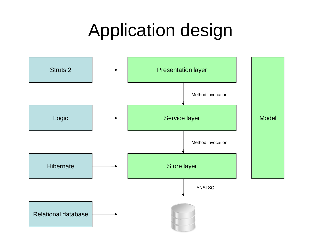# Application design

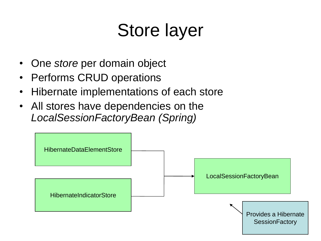# Store layer

- One *store* per domain object
- Performs CRUD operations
- Hibernate implementations of each store
- All stores have dependencies on the *LocalSessionFactoryBean (Spring)*

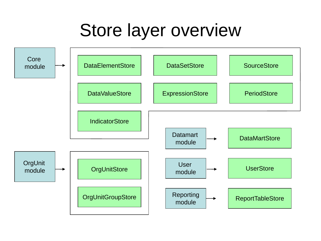#### Store layer overview

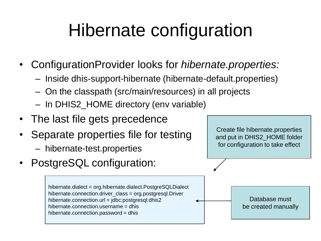# Hibernate configuration

- ConfigurationProvider looks for *hibernate.properties:*
	- Inside dhis-support-hibernate (hibernate-default.properties)
	- On the classpath (src/main/resources) in all projects
	- In DHIS2\_HOME directory (env variable)
- The last file gets precedence
- Separate properties file for testing
	- hibernate-test.properties
- PostgreSQL configuration:

hibernate.dialect = org.hibernate.dialect.PostgreSQLDialect hibernate.connection.driver\_class = org.postgresql.Driver hibernate.connection.url = jdbc:postgresql:dhis2 hibernate.connection.username = dhis hibernate.connection.password = dhis

Create file hibernate.properties and put in DHIS2\_HOME folder for configuration to take effect

> Database must be created manually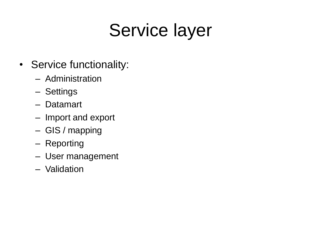# Service layer

- Service functionality:
	- Administration
	- Settings
	- Datamart
	- Import and export
	- GIS / mapping
	- Reporting
	- User management
	- Validation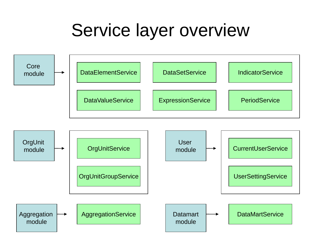#### Service layer overview

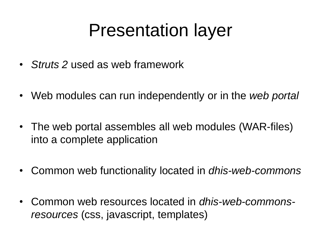#### Presentation layer

- *Struts 2* used as web framework
- Web modules can run independently or in the *web portal*
- The web portal assembles all web modules (WAR-files) into a complete application
- Common web functionality located in *dhis-web-commons*
- Common web resources located in *dhis-web-commonsresources* (css, javascript, templates)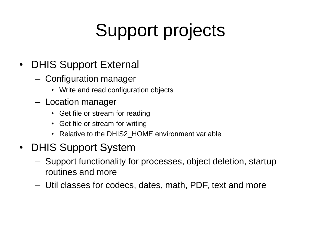# Support projects

- DHIS Support External
	- Configuration manager
		- Write and read configuration objects
	- Location manager
		- Get file or stream for reading
		- Get file or stream for writing
		- Relative to the DHIS2 HOME environment variable
- DHIS Support System
	- Support functionality for processes, object deletion, startup routines and more
	- Util classes for codecs, dates, math, PDF, text and more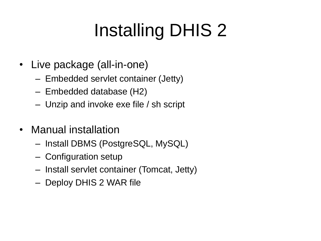# Installing DHIS 2

- Live package (all-in-one)
	- Embedded servlet container (Jetty)
	- Embedded database (H2)
	- Unzip and invoke exe file / sh script
- Manual installation
	- Install DBMS (PostgreSQL, MySQL)
	- Configuration setup
	- Install servlet container (Tomcat, Jetty)
	- Deploy DHIS 2 WAR file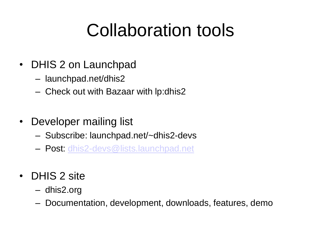# Collaboration tools

- DHIS 2 on Launchpad
	- launchpad.net/dhis2
	- Check out with Bazaar with lp:dhis2
- Developer mailing list
	- Subscribe: launchpad.net/~dhis2-devs
	- Post: [dhis2-devs@lists.launchpad.net](mailto:dhis2-devs@lists.launchpad.net)
- DHIS 2 site
	- dhis2.org
	- Documentation, development, downloads, features, demo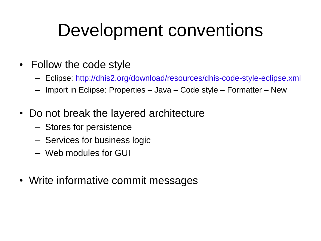#### Development conventions

- Follow the code style
	- Eclipse: http://dhis2.org/download/resources/dhis-code-style-eclipse.xml
	- Import in Eclipse: Properties Java Code style Formatter New
- Do not break the layered architecture
	- Stores for persistence
	- Services for business logic
	- Web modules for GUI
- Write informative commit messages